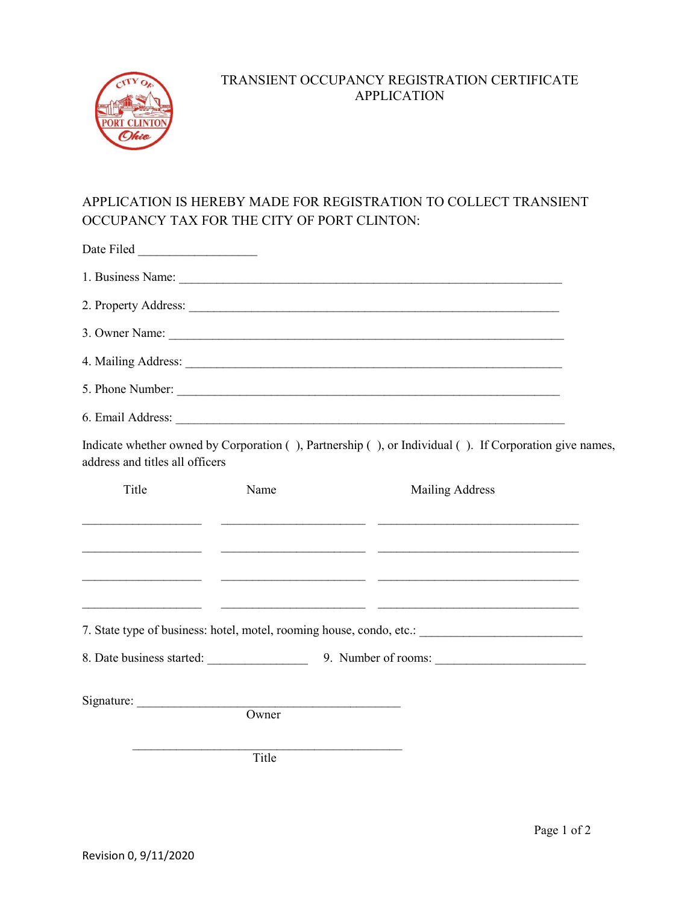

## TRANSIENT OCCUPANCY REGISTRATION CERTIFICATE APPLICATION

## APPLICATION IS HEREBY MADE FOR REGISTRATION TO COLLECT TRANSIENT OCCUPANCY TAX FOR THE CITY OF PORT CLINTON:

| Date Filed                                    |       |                                                                                                                                                                                                                               |  |
|-----------------------------------------------|-------|-------------------------------------------------------------------------------------------------------------------------------------------------------------------------------------------------------------------------------|--|
|                                               |       |                                                                                                                                                                                                                               |  |
|                                               |       |                                                                                                                                                                                                                               |  |
|                                               |       | 3. Owner Name:                                                                                                                                                                                                                |  |
|                                               |       |                                                                                                                                                                                                                               |  |
|                                               |       | 5. Phone Number:                                                                                                                                                                                                              |  |
|                                               |       | 6. Email Address: 2008. Email Address: 2008. Email Address: 2008. Email Address: 2008. Email Address: 2008. Email Address: 2008. Email Address: 2008. Email: 2008. Email: 2008. Email: 2008. Email: 2008. Email: 2008. Email: |  |
| address and titles all officers               |       | Indicate whether owned by Corporation (), Partnership (), or Individual (). If Corporation give names,                                                                                                                        |  |
| Title                                         | Name  | <b>Mailing Address</b>                                                                                                                                                                                                        |  |
| <u> 1980 - Andrea Andrew Maria (h. 1980).</u> |       |                                                                                                                                                                                                                               |  |
|                                               |       |                                                                                                                                                                                                                               |  |
|                                               |       |                                                                                                                                                                                                                               |  |
|                                               |       | 7. State type of business: hotel, motel, rooming house, condo, etc.: _______________________________                                                                                                                          |  |
|                                               |       |                                                                                                                                                                                                                               |  |
| Signature:                                    | Owner |                                                                                                                                                                                                                               |  |
|                                               |       |                                                                                                                                                                                                                               |  |
|                                               | Title |                                                                                                                                                                                                                               |  |